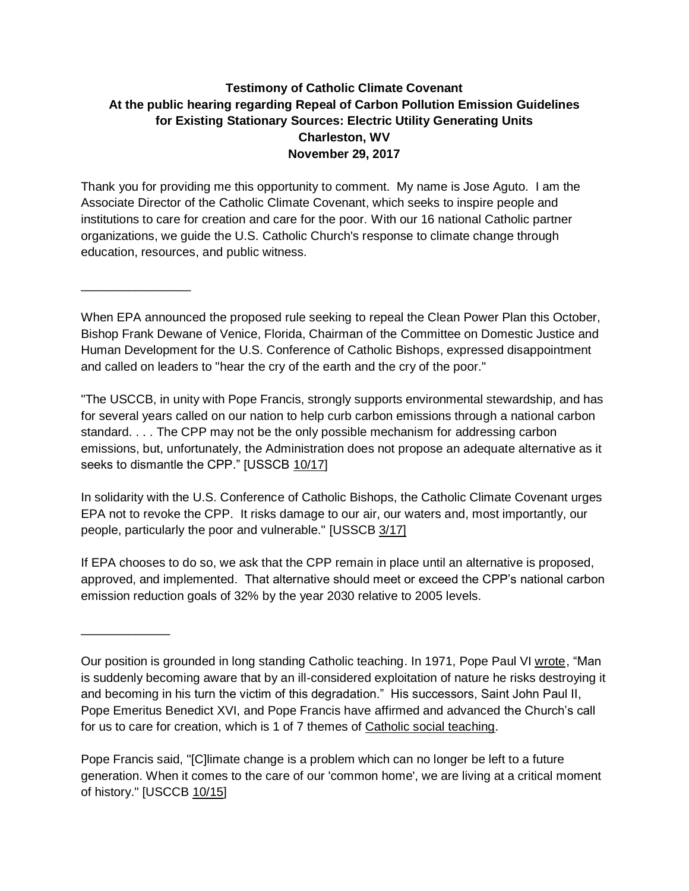## **Testimony of Catholic Climate Covenant At the public hearing regarding Repeal of Carbon Pollution Emission Guidelines for Existing Stationary Sources: Electric Utility Generating Units Charleston, WV November 29, 2017**

Thank you for providing me this opportunity to comment. My name is Jose Aguto. I am the Associate Director of the Catholic Climate Covenant, which seeks to inspire people and institutions to care for creation and care for the poor. With our 16 national Catholic partner organizations, we guide the U.S. Catholic Church's response to climate change through education, resources, and public witness.

\_\_\_\_\_\_\_\_\_\_\_\_\_\_\_\_

\_\_\_\_\_\_\_\_\_\_\_\_\_

When EPA announced the proposed rule seeking to repeal the Clean Power Plan this October, Bishop Frank Dewane of Venice, Florida, Chairman of the Committee on Domestic Justice and Human Development for the U.S. Conference of Catholic Bishops, expressed disappointment and called on leaders to "hear the cry of the earth and the cry of the poor."

"The USCCB, in unity with Pope Francis, strongly supports environmental stewardship, and has for several years called on our nation to help curb carbon emissions through a national carbon standard. . . . The CPP may not be the only possible mechanism for addressing carbon emissions, but, unfortunately, the Administration does not propose an adequate alternative as it seeks to dismantle the CPP." [USSCB [10/17\]](http://www.usccb.org/news/2017/17-182.cfm)

In solidarity with the U.S. Conference of Catholic Bishops, the Catholic Climate Covenant urges EPA not to revoke the CPP. It risks damage to our air, our waters and, most importantly, our people, particularly the poor and vulnerable." [USSCB [3/17\]](http://www.usccb.org/news/2017/17-056.cfm)

If EPA chooses to do so, we ask that the CPP remain in place until an alternative is proposed, approved, and implemented. That alternative should meet or exceed the CPP's national carbon emission reduction goals of 32% by the year 2030 relative to 2005 levels.

Pope Francis said, "[C]limate change is a problem which can no longer be left to a future generation. When it comes to the care of our 'common home', we are living at a critical moment of history." [USCCB [10/15\]](http://www.usccb.org/issues-and-action/human-life-and-dignity/environment/oral-testimony-epa-hearing-on-clean-power-plan-2015-11-18.cfm)

Our position is grounded in long standing Catholic teaching. In 1971, Pope Paul VI [wrote ,](http://w2.vatican.va/content/paul-vi/en/apost_letters/documents/hf_p-vi_apl_19710514_octogesima-adveniens.html) "Man is suddenly becoming aware that by an ill-considered exploitation of nature he risks destroying it and becoming in his turn the victim of this degradation." His successors, Saint John Paul II, Pope Emeritus Benedict XVI, and Pope Francis have affirmed and advanced the Church's call for us to care for creation, which is 1 of 7 themes of [Catholic social teaching.](http://www.usccb.org/beliefs-and-teachings/what-we-believe/catholic-social-teaching/seven-themes-of-catholic-social-teaching.cfm)